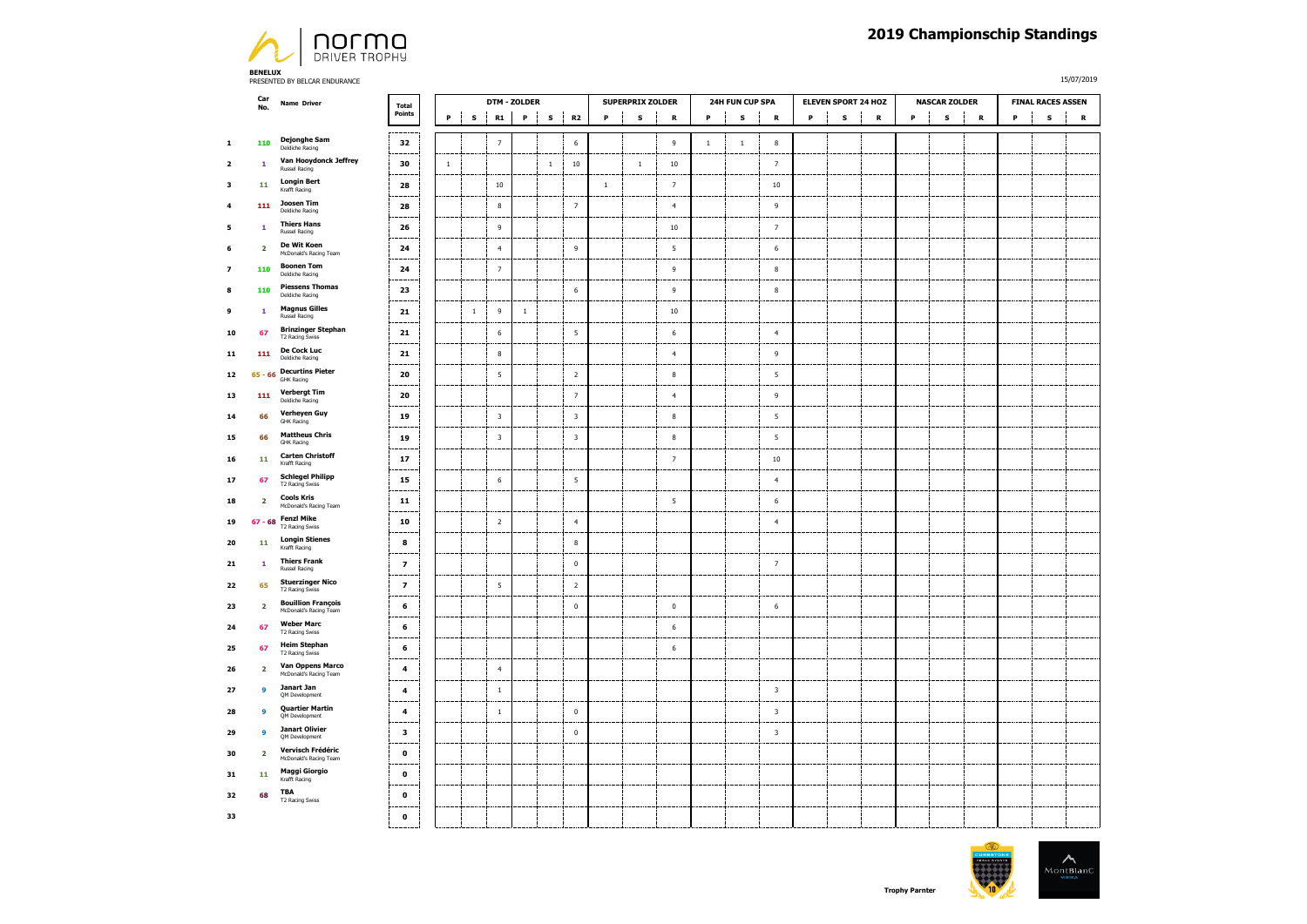

**BENELUX**  PRESENTED BY BELCAR ENDURANCE

15/07/2019

|                          | Car                     | <b>Name Driver</b>                                  | <b>Total</b>             | <b>DTM - ZOLDER</b> |                    |                         |         |       |                          |         | <b>SUPERPRIX ZOLDER</b> | 24H FUN CUP SPA  |             |           | <b>ELEVEN SPORT 24 HOZ</b> | <b>NASCAR ZOLDER</b> |           |                   | <b>FINAL RACES ASSEN</b> |              |   |             |           |
|--------------------------|-------------------------|-----------------------------------------------------|--------------------------|---------------------|--------------------|-------------------------|---------|-------|--------------------------|---------|-------------------------|------------------|-------------|-----------|----------------------------|----------------------|-----------|-------------------|--------------------------|--------------|---|-------------|-----------|
|                          | No.                     |                                                     | Points                   | P                   | -l<br>$\mathbf{s}$ | R1                      | ÷<br>P  | s     | <b>R2</b>                | P       | s                       | $\, {\bf R}$     | $\mathsf P$ | ${\bf s}$ | $\, {\bf R}$               | $\mathbf s$<br>P     | ${\bf R}$ | $\mathbf{I}$<br>P | s                        | $\, {\bf R}$ | P | $\mathbf s$ | ${\bf R}$ |
| $\mathbf 1$              | 110                     | <b>Dejonghe Sam</b><br>Deldiche Racing              | 32                       |                     |                    | $\overline{7}$          |         |       | 6                        |         |                         | 9                | $1\,$       | $\,1\,$   | 8                          |                      |           |                   |                          |              |   |             |           |
| $\overline{2}$           | $\mathbf 1$             | Van Hooydonck Jeffrey<br><b>Russel Racing</b>       | 30                       | $\,1\,$             |                    |                         |         | $1\,$ | $10\,$                   |         | $\,1\,$                 | $10\,$           |             |           | $\overline{7}$             |                      |           |                   |                          |              |   |             |           |
| 3                        | 11                      | <b>Longin Bert</b><br>Krafft Racing                 | 28                       |                     |                    | $10\,$                  |         |       |                          | $\,1\,$ |                         | $\overline{7}$   |             |           | $10\,$                     |                      |           |                   |                          |              |   |             |           |
| $\overline{4}$           | 111                     | Joosen Tim<br>Deldiche Racing                       | 28                       |                     |                    | $\bf 8$                 |         |       | $\overline{7}$           |         |                         | $\overline{4}$   |             |           | $\overline{9}$             |                      |           |                   |                          |              |   |             |           |
| 5                        | $\mathbf 1$             | <b>Thiers Hans</b><br>Russel Racing                 | 26                       |                     |                    | $\,9$                   |         |       |                          |         |                         | $10\,$           |             |           | $\overline{7}$             |                      |           |                   |                          |              |   |             |           |
| 6                        | $\overline{2}$          | De Wit Koen<br>McDonald's Racing Team               | 24                       |                     |                    | $\overline{4}$          |         |       | 9                        |         |                         | $5\phantom{.0}$  |             |           | $\,$ 6 $\,$                |                      |           |                   |                          |              |   |             |           |
| $\overline{\phantom{a}}$ | 110                     | <b>Boonen Tom</b><br>Deldiche Racing                | 24                       |                     |                    | $\overline{7}$          |         |       |                          |         |                         | $\overline{9}$   |             |           | $\bf8$                     |                      |           |                   |                          |              |   |             |           |
| 8                        | 110                     | <b>Piessens Thomas</b><br>Deldiche Racing           | 23                       |                     |                    |                         |         |       | $\,$ 6                   |         |                         | $\,9$            |             |           | $\bf8$                     |                      |           |                   |                          |              |   |             |           |
| 9                        | $\mathbf 1$             | <b>Magnus Gilles</b><br><b>Russel Racing</b>        | 21                       |                     | $\overline{1}$     | $\,9$                   | $\,1\,$ |       |                          |         |                         | 10               |             |           |                            |                      |           |                   |                          |              |   |             |           |
| 10                       | 67                      | <b>Brinzinger Stephan</b><br>T2 Racing Swiss        | $\bf{21}$                |                     |                    | $\,$ 6                  |         |       | $\overline{\phantom{a}}$ |         |                         | $\,$ 6 $\,$      |             |           | $\overline{4}$             |                      |           |                   |                          |              |   |             |           |
| 11                       | 111                     | De Cock Luc<br>Deldiche Racing                      | ${\bf 21}$               |                     |                    | $\boldsymbol{8}$        |         |       |                          |         |                         | $\overline{4}$   |             |           | $\mathsf{g}$               |                      |           |                   |                          |              |   |             |           |
| 12                       |                         | 65 - 66 Decurtins Pieter<br><b>GHK Racing</b>       | 20                       |                     |                    | $\sqrt{5}$              |         |       | $\overline{2}$           |         |                         | $\boldsymbol{8}$ |             |           | 5                          |                      |           |                   |                          |              |   |             |           |
| 13                       | 111                     | <b>Verbergt Tim</b><br>Deldiche Racing              | 20                       |                     |                    |                         |         |       | $\overline{7}$           |         |                         | $\overline{4}$   |             |           | $\overline{9}$             |                      |           |                   |                          |              |   |             |           |
| 14                       | 66                      | Verheyen Guy<br><b>GHK Racing</b>                   | 19                       |                     |                    | $\overline{\mathbf{3}}$ |         |       | $\overline{\mathbf{3}}$  |         |                         | $\boldsymbol{8}$ |             |           | $\overline{5}$             |                      |           |                   |                          |              |   |             |           |
| 15                       | 66                      | <b>Mattheus Chris</b><br><b>GHK Racing</b>          | 19                       |                     |                    | $\overline{\mathbf{3}}$ |         |       | $\overline{\mathbf{3}}$  |         |                         | $\bf8$           |             |           | $\overline{5}$             |                      |           |                   |                          |              |   |             |           |
| 16                       | 11                      | <b>Carten Christoff</b><br>Krafft Racing            | 17                       |                     |                    |                         |         |       |                          |         |                         | $\overline{7}$   |             |           | $10\,$                     |                      |           |                   |                          |              |   |             |           |
| 17                       | 67                      | <b>Schlegel Philipp</b><br><b>T2 Racing Swiss</b>   | 15                       |                     |                    | $\,$ 6                  |         |       | $\sqrt{5}$               |         |                         |                  |             |           | $\overline{4}$             |                      |           |                   |                          |              |   |             |           |
| 18                       | $\overline{\mathbf{2}}$ | <b>Cools Kris</b><br>McDonald's Racing Team         | 11                       |                     |                    |                         |         |       |                          |         |                         | 5                |             |           | 6                          |                      |           |                   |                          |              |   |             |           |
| 19                       |                         | 67 - 68 Fenzi Mike<br>T2 Racing Swiss               | 10                       |                     |                    | $\overline{2}$          |         |       | $\overline{4}$           |         |                         |                  |             |           | $\overline{4}$             |                      |           |                   |                          |              |   |             |           |
| 20                       | 11                      | <b>Longin Stienes</b><br>Krafft Racing              | 8                        |                     |                    |                         |         |       | 8                        |         |                         |                  |             |           |                            |                      |           |                   |                          |              |   |             |           |
| 21                       | $\mathbf{1}$            | <b>Thiers Frank</b><br>Russel Racing                | $\overline{\mathbf{z}}$  |                     |                    |                         |         |       | $\mathbf 0$              |         |                         |                  |             |           | $\overline{7}$             |                      |           |                   |                          |              |   |             |           |
| 22                       | 65                      | <b>Stuerzinger Nico</b><br>T2 Racing Swiss          | $\overline{\phantom{a}}$ |                     |                    | 5                       |         |       | $\overline{2}$           |         |                         |                  |             |           |                            |                      |           |                   |                          |              |   |             |           |
| 23                       | $\overline{\mathbf{2}}$ | <b>Bouillion François</b><br>McDonald's Racing Team | 6                        |                     |                    |                         |         |       | $\mathbf 0$              |         |                         | $\mathbf 0$      |             |           | $\,$ 6                     |                      |           |                   |                          |              |   |             |           |
| 24                       | 67                      | <b>Weber Marc</b><br>T2 Racing Swiss                | 6                        |                     |                    |                         |         |       |                          |         |                         | 6                |             |           |                            |                      |           |                   |                          |              |   |             |           |
| 25                       | 67                      | <b>Heim Stephan</b><br><b>T2 Racing Swiss</b>       | 6                        |                     |                    |                         |         |       |                          |         |                         | $\,$ 6 $\,$      |             |           |                            |                      |           |                   |                          |              |   |             |           |
| 26                       | $\overline{\mathbf{2}}$ | Van Oppens Marco<br>McDonald's Racing Team          | $\boldsymbol{4}$         |                     |                    | $\overline{4}$          |         |       |                          |         |                         |                  |             |           |                            |                      |           |                   |                          |              |   |             |           |
| 27                       | 9                       | Janart Jan<br>QM Development                        | 4                        |                     |                    | $\,$ 1                  |         |       |                          |         |                         |                  |             |           | $\overline{\mathbf{3}}$    |                      |           |                   |                          |              |   |             |           |
| 28                       | $\overline{9}$          | <b>Quartier Martin</b><br>QM Development            | $\overline{\mathbf{4}}$  |                     |                    | $\,$ 1 $\,$             |         |       | $\mathbf 0$              |         |                         |                  |             |           | $\overline{\mathbf{3}}$    |                      |           |                   |                          |              |   |             |           |
| 29                       | 9                       | <b>Janart Olivier</b><br>QM Development             | $\mathbf{3}$             |                     |                    |                         |         |       | $\mathbf 0$              |         |                         |                  |             |           | $\overline{\mathbf{3}}$    |                      |           |                   |                          |              |   |             |           |
| 30                       | $\overline{2}$          | Vervisch Frédéric<br>McDonald's Racing Team         | $\mathbf 0$              |                     |                    |                         |         |       |                          |         |                         |                  |             |           |                            |                      |           |                   |                          |              |   |             |           |
| 31                       | 11                      | <b>Maggi Giorgio</b><br>Krafft Racing               | $\mathbf 0$              |                     |                    |                         |         |       |                          |         |                         |                  |             |           |                            |                      |           |                   |                          |              |   |             |           |
| 32                       | 68                      | <b>TBA</b><br>T2 Racing Swiss                       | $\mathbf 0$              |                     |                    |                         |         |       |                          |         |                         |                  |             |           |                            |                      |           |                   |                          |              |   |             |           |
| 33                       |                         |                                                     | $\pmb{\mathsf{o}}$       |                     |                    |                         |         |       |                          |         |                         |                  |             |           |                            |                      |           |                   |                          |              |   |             |           |